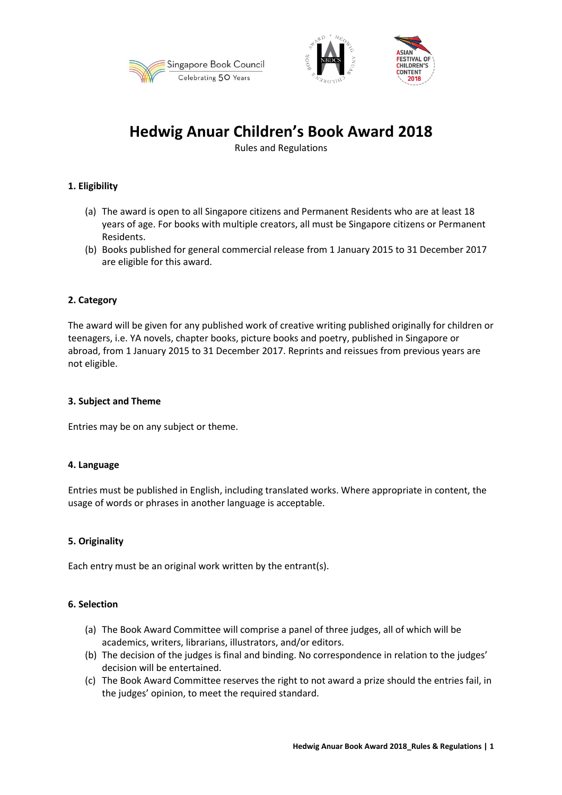





# **Hedwig Anuar Children's Book Award 2018**

Rules and Regulations

# **1. Eligibility**

- (a) The award is open to all Singapore citizens and Permanent Residents who are at least 18 years of age. For books with multiple creators, all must be Singapore citizens or Permanent Residents.
- (b) Books published for general commercial release from 1 January 2015 to 31 December 2017 are eligible for this award.

# **2. Category**

The award will be given for any published work of creative writing published originally for children or teenagers, i.e. YA novels, chapter books, picture books and poetry, published in Singapore or abroad, from 1 January 2015 to 31 December 2017. Reprints and reissues from previous years are not eligible.

## **3. Subject and Theme**

Entries may be on any subject or theme.

# **4. Language**

Entries must be published in English, including translated works. Where appropriate in content, the usage of words or phrases in another language is acceptable.

# **5. Originality**

Each entry must be an original work written by the entrant(s).

### **6. Selection**

- (a) The Book Award Committee will comprise a panel of three judges, all of which will be academics, writers, librarians, illustrators, and/or editors.
- (b) The decision of the judges is final and binding. No correspondence in relation to the judges' decision will be entertained.
- (c) The Book Award Committee reserves the right to not award a prize should the entries fail, in the judges' opinion, to meet the required standard.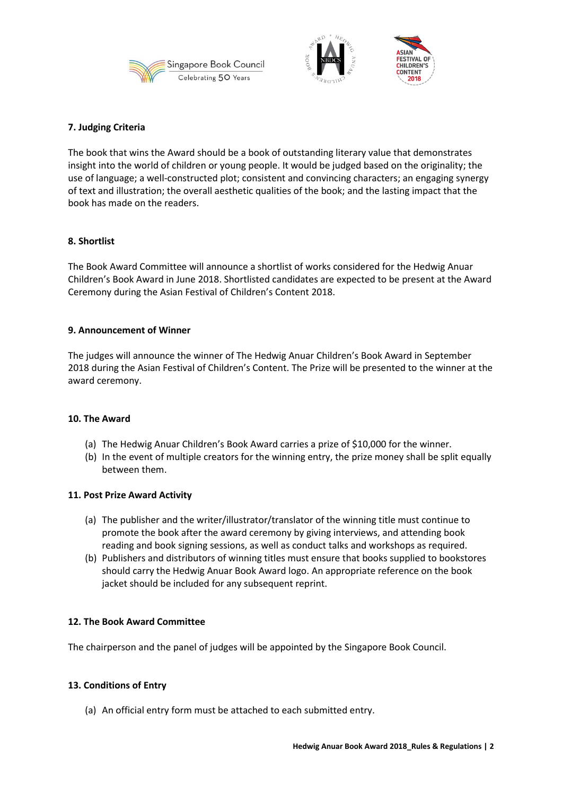





## **7. Judging Criteria**

The book that wins the Award should be a book of outstanding literary value that demonstrates insight into the world of children or young people. It would be judged based on the originality; the use of language; a well-constructed plot; consistent and convincing characters; an engaging synergy of text and illustration; the overall aesthetic qualities of the book; and the lasting impact that the book has made on the readers.

## **8. Shortlist**

The Book Award Committee will announce a shortlist of works considered for the Hedwig Anuar Children's Book Award in June 2018. Shortlisted candidates are expected to be present at the Award Ceremony during the Asian Festival of Children's Content 2018.

## **9. Announcement of Winner**

The judges will announce the winner of The Hedwig Anuar Children's Book Award in September 2018 during the Asian Festival of Children's Content. The Prize will be presented to the winner at the award ceremony.

### **10. The Award**

- (a) The Hedwig Anuar Children's Book Award carries a prize of \$10,000 for the winner.
- (b) In the event of multiple creators for the winning entry, the prize money shall be split equally between them.

### **11. Post Prize Award Activity**

- (a) The publisher and the writer/illustrator/translator of the winning title must continue to promote the book after the award ceremony by giving interviews, and attending book reading and book signing sessions, as well as conduct talks and workshops as required.
- (b) Publishers and distributors of winning titles must ensure that books supplied to bookstores should carry the Hedwig Anuar Book Award logo. An appropriate reference on the book jacket should be included for any subsequent reprint.

# **12. The Book Award Committee**

The chairperson and the panel of judges will be appointed by the Singapore Book Council.

### **13. Conditions of Entry**

(a) An official entry form must be attached to each submitted entry.